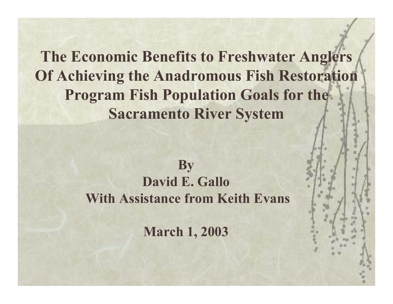**The Economic Benefits to Freshwater Anglers Of Achieving the Anadromous Fish Restoration Program Fish Population Goals for the Sacramento River System**

#### **By David E. Gallo With Assistance from Keith Evans**

**March 1, 2003**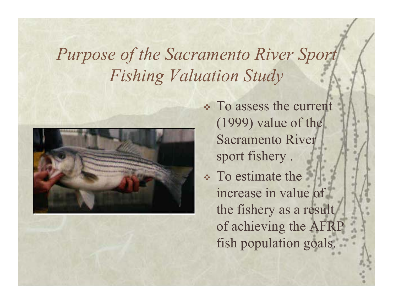*Purpose of the Sacramento River Sport Fishing Valuation Study*



 To assess the current (1999) value of the Sacramento River sport fishery .

 To estimate the increase in value of the fishery as a result of achieving the AFRP fish population goals.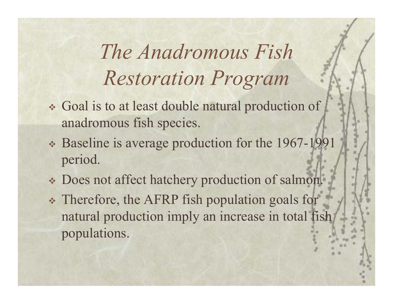*The Anadromous Fish Restoration Program*

- Goal is to at least double natural production of anadromous fish species.
- Baseline is average production for the 1967-1991 period.
- Does not affect hatchery production of salmon.
- Therefore, the AFRP fish population goals for natural production imply an increase in total fish populations.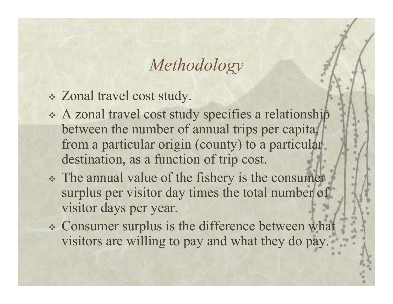## *Methodology*

- Zonal travel cost study.
- A zonal travel cost study specifies a relationship between the number of annual trips per capita, from a particular origin (county) to a particular destination, as a function of trip cost.
- The annual value of the fishery is the consumer surplus per visitor day times the total number of visitor days per year.
- Consumer surplus is the difference between what visitors are willing to pay and what they do pay.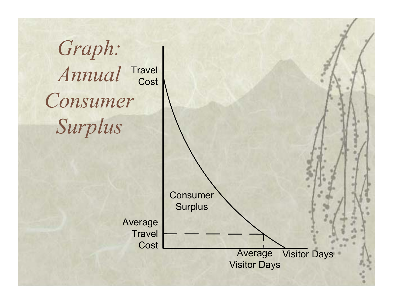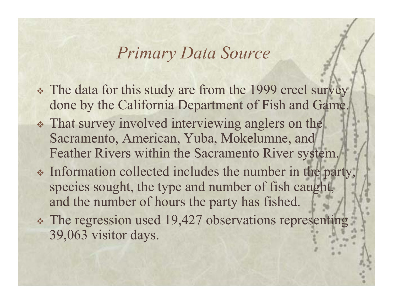### *Primary Data Source*

- The data for this study are from the 1999 creel survey done by the California Department of Fish and Game.
- That survey involved interviewing anglers on the Sacramento, American, Yuba, Mokelumne, and Feather Rivers within the Sacramento River system.
- Information collected includes the number in the party, species sought, the type and number of fish caught, and the number of hours the party has fished.
- \* The regression used 19,427 observations representing 39,063 visitor days.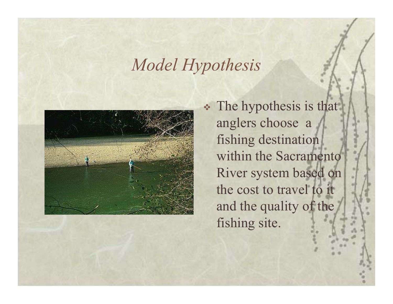### *Model Hypothesis*



 The hypothesis is that anglers choose a fishing destination within the Sacramento River system based on the cost to travel to it and the quality of the fishing site.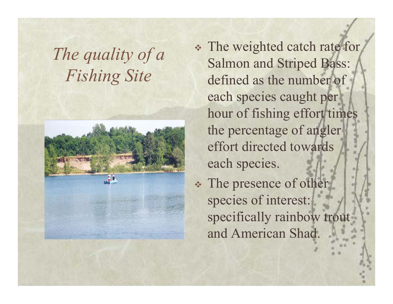## *The quality of a Fishing Site*



- The weighted catch rate for Salmon and Striped Bass: defined as the number of each species caught per hour of fishing effort times the percentage of angler effort directed towards each species.
- The presence of other species of interest: specifically rainbow trout and American Shad.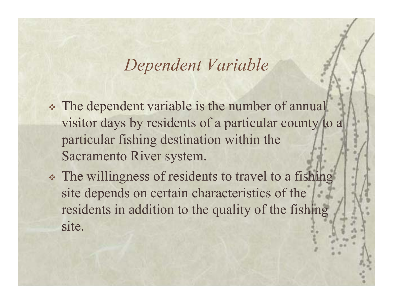#### *Dependent Variable*

- The dependent variable is the number of annual visitor days by residents of a particular county to a particular fishing destination within the Sacramento River system.
- The willingness of residents to travel to a fishing site depends on certain characteristics of the residents in addition to the quality of the fishing site.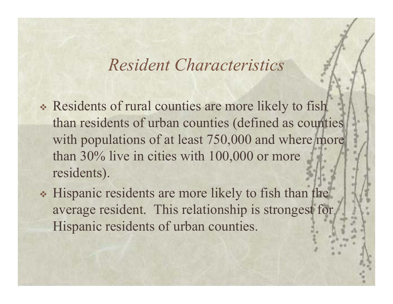### *Resident Characteristics*

- Residents of rural counties are more likely to fish than residents of urban counties (defined as counties with populations of at least 750,000 and where more than 30% live in cities with 100,000 or more residents).
- Hispanic residents are more likely to fish than the average resident. This relationship is strongest for Hispanic residents of urban counties.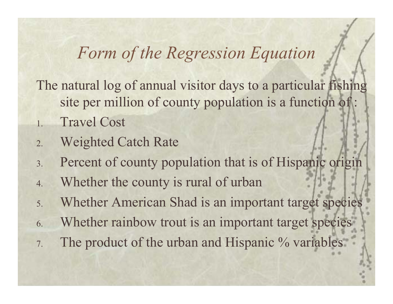## *Form of the Regression Equation*

The natural log of annual visitor days to a particular fishing site per million of county population is a function of:

- 1.Travel Cost
- 2.Weighted Catch Rate
- 3.Percent of county population that is of Hispanic origin
- 4.Whether the county is rural of urban
- 5.Whether American Shad is an important target species
- 6.Whether rainbow trout is an important target species
- 7.The product of the urban and Hispanic % variables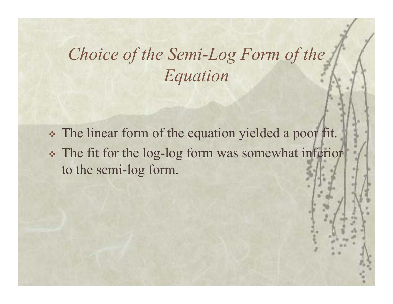# *Choice of the Semi-Log Form of the Equation*

 The linear form of the equation yielded a poor fit. The fit for the log-log form was somewhat inferior to the semi-log form.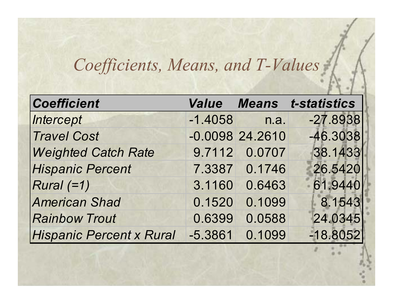# *Coefficients, Means, and T-Values*

| <b>Coefficient</b>              |           |                   | <b>Value Means t-statistics</b> |
|---------------------------------|-----------|-------------------|---------------------------------|
| Intercept                       | $-1.4058$ | n.a.              | $-27.8938$                      |
| <b>Travel Cost</b>              |           | $-0.0098$ 24.2610 | $-46.3038$                      |
| <b>Weighted Catch Rate</b>      |           | 9.7112 0.0707     | 38.1433                         |
| <b>Hispanic Percent</b>         | 7.3387    | 0.1746            | 26.5420                         |
| $Rural (=1)$                    | 3.1160    | 0.6463            | 61.9440                         |
| <b>American Shad</b>            | 0.1520    | 0.1099            | 8.1543                          |
| <b>Rainbow Trout</b>            | 0.6399    | 0.0588            | 24.0345                         |
| <b>Hispanic Percent x Rural</b> | $-5.3861$ | 0.1099            | $-18.8052$                      |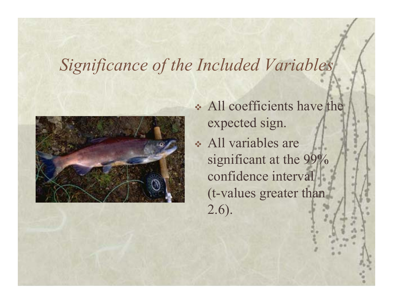## *Significance of the Included Variables*



- All coefficients have the expected sign.
- All variables are significant at the 99% confidence interval (t-values greater than 2.6).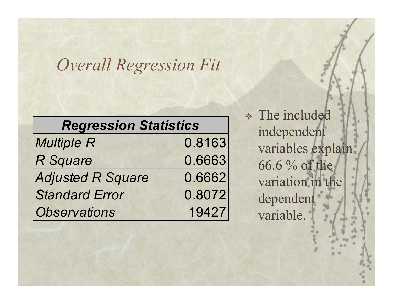## *Overall Regression Fit*

| <b>Regression Statistics</b> |        |  |
|------------------------------|--------|--|
| <b>Multiple R</b>            | 0.8163 |  |
| <b>R</b> Square              | 0.6663 |  |
| <b>Adjusted R Square</b>     | 0.6662 |  |
| <b>Standard Error</b>        | 0.8072 |  |
| <b>Observations</b>          | 19427  |  |

 The included independent variables explain 66.6 % of the variation in the dependent variable.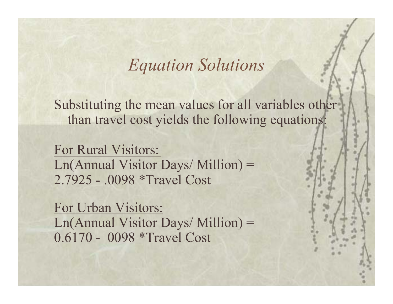#### *Equation Solutions*

Substituting the mean values for all variables other than travel cost yields the following equations:

For Rural Visitors: Ln(Annual Visitor Days/ Million) = 2.7925 - .0098 \*Travel Cost

For Urban Visitors: Ln(Annual Visitor Days/ Million) = 0.6170 - 0098 \*Travel Cost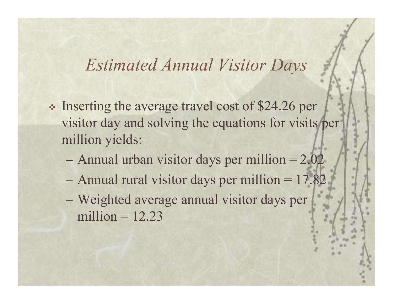### *Estimated Annual Visitor Days*

- Inserting the average travel cost of \$24.26 per visitor day and solving the equations for visits per million yields:
	- Annual urban visitor days per million  $= 2.02$
	- Annual rural visitor days per million = 17.82
	- Weighted average annual visitor days per million  $= 12.23$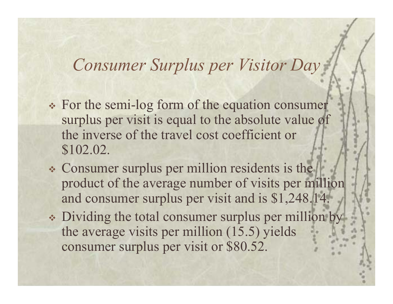### *Consumer Surplus per Visitor Day*

- For the semi-log form of the equation consumer surplus per visit is equal to the absolute value of the inverse of the travel cost coefficient or \$102.02.
- Consumer surplus per million residents is the product of the average number of visits per million and consumer surplus per visit and is \$1,248.14.
- Dividing the total consumer surplus per million by the average visits per million (15.5) yields consumer surplus per visit or \$80.52.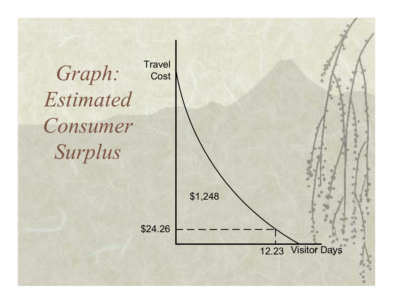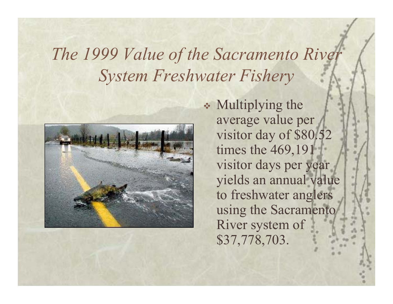# *The 1999 Value of the Sacramento River System Freshwater Fishery*



 Multiplying the average value per visitor day of \$80.52 times the 469,191 visitor days per year yields an annual value to freshwater anglers using the Sacramento River system of \$37,778,703.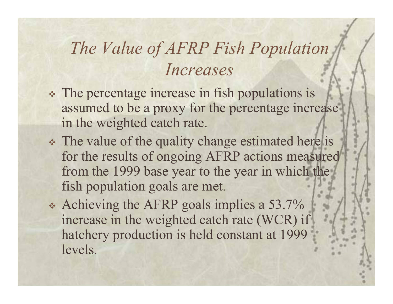# *The Value of AFRP Fish Population Increases*

- The percentage increase in fish populations is assumed to be a proxy for the percentage increase in the weighted catch rate.
- The value of the quality change estimated here is for the results of ongoing AFRP actions measured from the 1999 base year to the year in which the fish population goals are met.
- Achieving the AFRP goals implies a 53.7% increase in the weighted catch rate (WCR) if hatchery production is held constant at 1999 levels.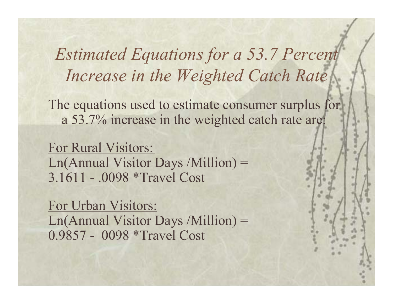*Estimated Equations for a 53.7 Percent Increase in the Weighted Catch Rate*

The equations used to estimate consumer surplus for a 53.7% increase in the weighted catch rate are:

For Rural Visitors: Ln(Annual Visitor Days /Million) = 3.1611 - .0098 \*Travel Cost

For Urban Visitors: Ln(Annual Visitor Days /Million) = 0.9857 - 0098 \*Travel Cost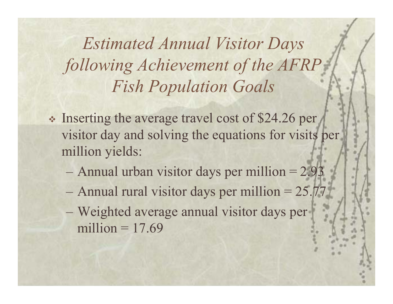*Estimated Annual Visitor Days following Achievement of the AFRP Fish Population Goals*

- \* Inserting the average travel cost of \$24.26 per visitor day and solving the equations for visits per million yields:
	- Annual urban visitor days per million = 2.93
	- Annual rural visitor days per million = 25.77
	- Weighted average annual visitor days per million  $= 17.69$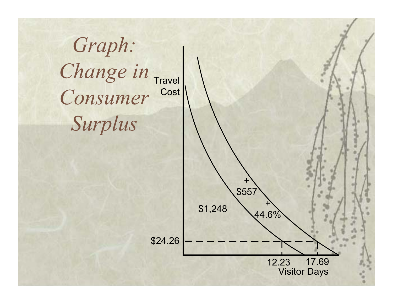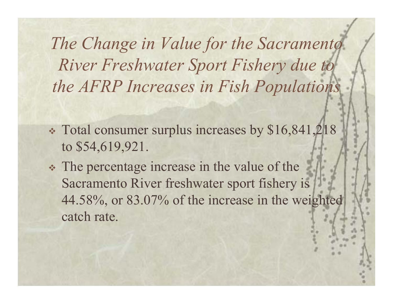*The Change in Value for the Sacramento River Freshwater Sport Fishery due to the AFRP Increases in Fish Populations*

- Total consumer surplus increases by \$16,841,218 to \$54,619,921.
- The percentage increase in the value of the Sacramento River freshwater sport fishery is 44.58%, or 83.07% of the increase in the weighted catch rate.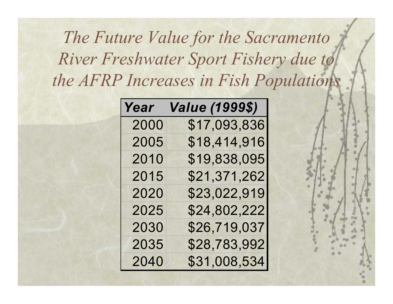# *The Future Value for the Sacramento River Freshwater Sport Fishery due to the AFRP Increases in Fish Populations*

| Year | <i><b>Value (1999\$)</b></i> |
|------|------------------------------|
| 2000 | \$17,093,836                 |
| 2005 | \$18,414,916                 |
| 2010 | \$19,838,095                 |
| 2015 | \$21,371,262                 |
| 2020 | \$23,022,919                 |
| 2025 | \$24,802,222                 |
| 2030 | \$26,719,037                 |
| 2035 | \$28,783,992                 |
| 2040 | \$31,008,534                 |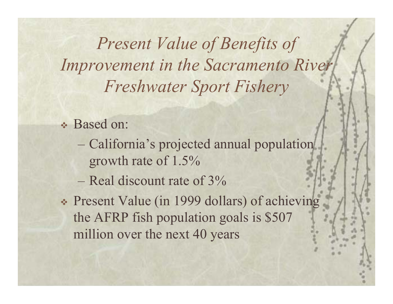*Present Value of Benefits of Improvement in the Sacramento River Freshwater Sport Fishery*

- Based on:
	- California's projected annual population growth rate of 1.5%
	- $-$  Real discount rate of 3%
- Present Value (in 1999 dollars) of achieving the AFRP fish population goals is \$507 million over the next 40 years